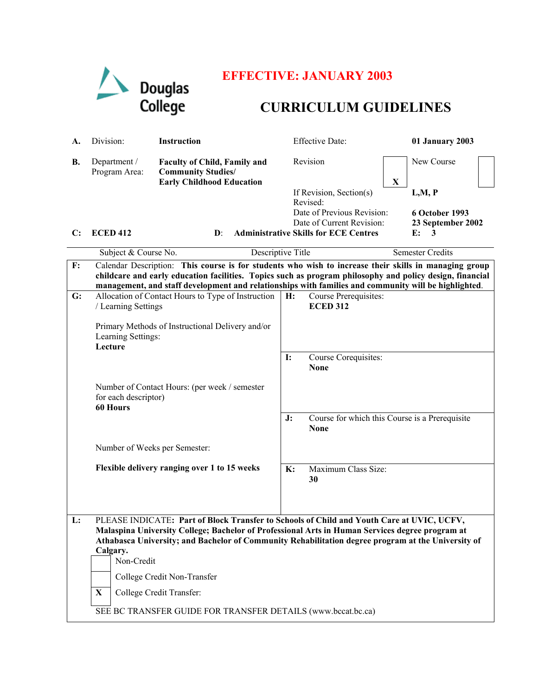

# **EFFECTIVE: JANUARY 2003**

# **CURRICULUM GUIDELINES**

| A.           | Division:                                                                                                                                                                                                                                                                                                                    | <b>Instruction</b>                                                                                   |           | <b>Effective Date:</b>                                        | <b>01 January 2003</b>    |  |
|--------------|------------------------------------------------------------------------------------------------------------------------------------------------------------------------------------------------------------------------------------------------------------------------------------------------------------------------------|------------------------------------------------------------------------------------------------------|-----------|---------------------------------------------------------------|---------------------------|--|
| В.           | Department /<br>Program Area:                                                                                                                                                                                                                                                                                                | <b>Faculty of Child, Family and</b><br><b>Community Studies/</b><br><b>Early Childhood Education</b> |           | Revision                                                      | New Course<br>$\mathbf X$ |  |
|              |                                                                                                                                                                                                                                                                                                                              |                                                                                                      |           | If Revision, Section(s)                                       | L,M, P                    |  |
|              |                                                                                                                                                                                                                                                                                                                              |                                                                                                      |           | Revised:<br>Date of Previous Revision:                        | 6 October 1993            |  |
|              |                                                                                                                                                                                                                                                                                                                              |                                                                                                      |           | Date of Current Revision:                                     | 23 September 2002         |  |
| $\mathbf{C}$ | <b>ECED 412</b>                                                                                                                                                                                                                                                                                                              | $\mathbf{D}$ :                                                                                       |           | <b>Administrative Skills for ECE Centres</b>                  | E:<br>3                   |  |
|              | Subject & Course No.                                                                                                                                                                                                                                                                                                         | Descriptive Title                                                                                    |           |                                                               | <b>Semester Credits</b>   |  |
| F:           | Calendar Description: This course is for students who wish to increase their skills in managing group<br>childcare and early education facilities. Topics such as program philosophy and policy design, financial<br>management, and staff development and relationships with families and community will be highlighted.    |                                                                                                      |           |                                                               |                           |  |
| G:           | Allocation of Contact Hours to Type of Instruction<br>/ Learning Settings                                                                                                                                                                                                                                                    |                                                                                                      | H:        | Course Prerequisites:<br><b>ECED 312</b>                      |                           |  |
|              | Primary Methods of Instructional Delivery and/or<br>Learning Settings:<br>Lecture                                                                                                                                                                                                                                            |                                                                                                      |           |                                                               |                           |  |
|              |                                                                                                                                                                                                                                                                                                                              |                                                                                                      | <b>I:</b> | Course Corequisites:<br><b>None</b>                           |                           |  |
|              | Number of Contact Hours: (per week / semester<br>for each descriptor)<br>60 Hours                                                                                                                                                                                                                                            |                                                                                                      |           |                                                               |                           |  |
|              |                                                                                                                                                                                                                                                                                                                              |                                                                                                      | J:        | Course for which this Course is a Prerequisite<br><b>None</b> |                           |  |
|              | Number of Weeks per Semester:                                                                                                                                                                                                                                                                                                |                                                                                                      |           |                                                               |                           |  |
|              |                                                                                                                                                                                                                                                                                                                              | Flexible delivery ranging over 1 to 15 weeks                                                         | K:        | Maximum Class Size:<br>30                                     |                           |  |
| L:           | PLEASE INDICATE: Part of Block Transfer to Schools of Child and Youth Care at UVIC, UCFV,<br>Malaspina University College; Bachelor of Professional Arts in Human Services degree program at<br>Athabasca University; and Bachelor of Community Rehabilitation degree program at the University of<br>Calgary.<br>Non-Credit |                                                                                                      |           |                                                               |                           |  |
|              |                                                                                                                                                                                                                                                                                                                              | College Credit Non-Transfer                                                                          |           |                                                               |                           |  |
|              | X                                                                                                                                                                                                                                                                                                                            | College Credit Transfer:                                                                             |           |                                                               |                           |  |
|              |                                                                                                                                                                                                                                                                                                                              | SEE BC TRANSFER GUIDE FOR TRANSFER DETAILS (www.bccat.bc.ca)                                         |           |                                                               |                           |  |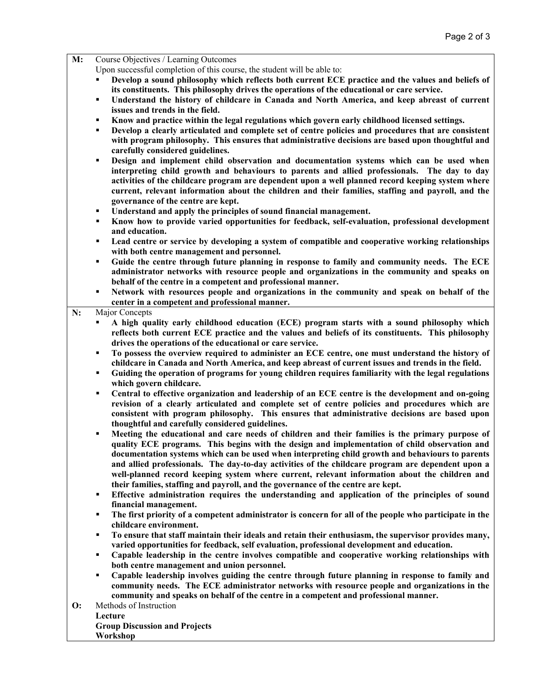### **M:** Course Objectives / Learning Outcomes

Upon successful completion of this course, the student will be able to:

- **Develop a sound philosophy which reflects both current ECE practice and the values and beliefs of its constituents. This philosophy drives the operations of the educational or care service.**
- **Understand the history of childcare in Canada and North America, and keep abreast of current issues and trends in the field.**
- **Know and practice within the legal regulations which govern early childhood licensed settings.**
- **Develop a clearly articulated and complete set of centre policies and procedures that are consistent with program philosophy. This ensures that administrative decisions are based upon thoughtful and carefully considered guidelines.**
- **Design and implement child observation and documentation systems which can be used when interpreting child growth and behaviours to parents and allied professionals. The day to day activities of the childcare program are dependent upon a well planned record keeping system where current, relevant information about the children and their families, staffing and payroll, and the governance of the centre are kept.**
- **Understand and apply the principles of sound financial management.**
- **Know how to provide varied opportunities for feedback, self-evaluation, professional development and education.**
- **Lead centre or service by developing a system of compatible and cooperative working relationships with both centre management and personnel.**
- **Guide the centre through future planning in response to family and community needs. The ECE administrator networks with resource people and organizations in the community and speaks on behalf of the centre in a competent and professional manner.**
- **Network with resources people and organizations in the community and speak on behalf of the center in a competent and professional manner.**

### **N:** Major Concepts

- **A high quality early childhood education (ECE) program starts with a sound philosophy which reflects both current ECE practice and the values and beliefs of its constituents. This philosophy drives the operations of the educational or care service.**
- **To possess the overview required to administer an ECE centre, one must understand the history of childcare in Canada and North America, and keep abreast of current issues and trends in the field.**
- **Guiding the operation of programs for young children requires familiarity with the legal regulations which govern childcare.**
- **Central to effective organization and leadership of an ECE centre is the development and on-going revision of a clearly articulated and complete set of centre policies and procedures which are consistent with program philosophy. This ensures that administrative decisions are based upon thoughtful and carefully considered guidelines.**
- **Meeting the educational and care needs of children and their families is the primary purpose of quality ECE programs. This begins with the design and implementation of child observation and documentation systems which can be used when interpreting child growth and behaviours to parents and allied professionals. The day-to-day activities of the childcare program are dependent upon a well-planned record keeping system where current, relevant information about the children and their families, staffing and payroll, and the governance of the centre are kept.**
- **Effective administration requires the understanding and application of the principles of sound financial management.**
- **The first priority of a competent administrator is concern for all of the people who participate in the childcare environment.**
- **To ensure that staff maintain their ideals and retain their enthusiasm, the supervisor provides many, varied opportunities for feedback, self evaluation, professional development and education.**
- **Capable leadership in the centre involves compatible and cooperative working relationships with both centre management and union personnel.**
- **Capable leadership involves guiding the centre through future planning in response to family and community needs. The ECE administrator networks with resource people and organizations in the community and speaks on behalf of the centre in a competent and professional manner.**
- **O:** Methods of Instruction **Lecture Group Discussion and Projects**

### **Workshop**